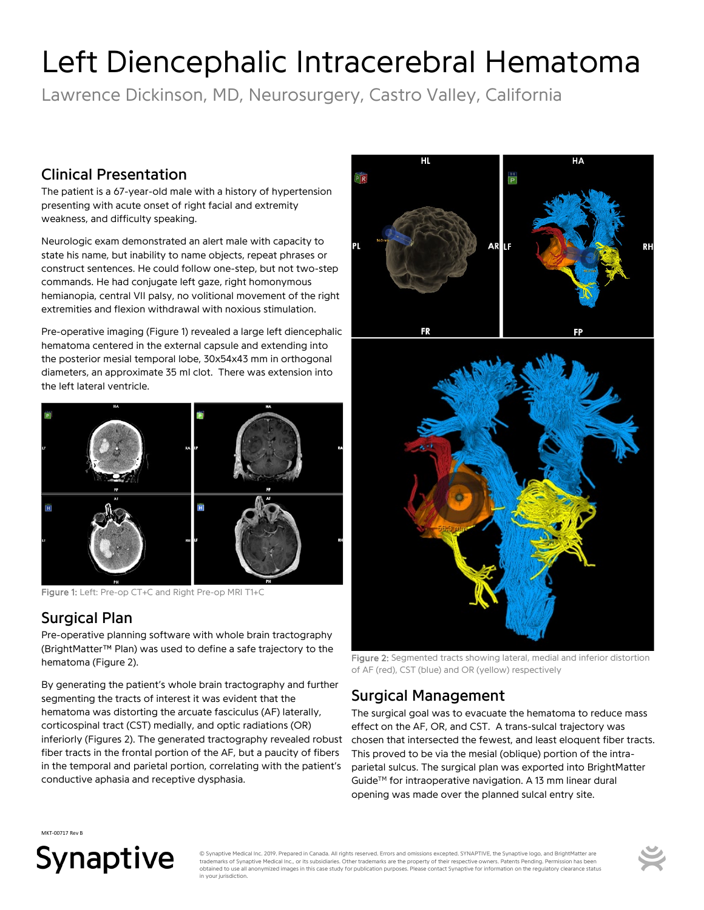# Left Diencephalic Intracerebral Hematoma

Lawrence Dickinson, MD, Neurosurgery, Castro Valley, California

#### Clinical Presentation

The patient is a 67-year-old male with a history of hypertension presenting with acute onset of right facial and extremity weakness, and difficulty speaking.

Neurologic exam demonstrated an alert male with capacity to state his name, but inability to name objects, repeat phrases or construct sentences. He could follow one-step, but not two-step commands. He had conjugate left gaze, right homonymous hemianopia, central VII palsy, no volitional movement of the right extremities and flexion withdrawal with noxious stimulation.

Pre-operative imaging (Figure 1) revealed a large left diencephalic hematoma centered in the external capsule and extending into the posterior mesial temporal lobe, 30x54x43 mm in orthogonal diameters, an approximate 35 ml clot. There was extension into the left lateral ventricle.



Figure 1: Left: Pre-op CT+C and Right Pre-op MRI T1+C

## Surgical Plan

Pre-operative planning software with whole brain tractography (BrightMatter™ Plan) was used to define a safe trajectory to the hematoma (Figure 2).

By generating the patient's whole brain tractography and further segmenting the tracts of interest it was evident that the hematoma was distorting the arcuate fasciculus (AF) laterally, corticospinal tract (CST) medially, and optic radiations (OR) inferiorly (Figures 2). The generated tractography revealed robust fiber tracts in the frontal portion of the AF, but a paucity of fibers in the temporal and parietal portion, correlating with the patient's conductive aphasia and receptive dysphasia.



Figure 2: Segmented tracts showing lateral, medial and inferior distortion of AF (red), CST (blue) and OR (yellow) respectively

#### Surgical Management

The surgical goal was to evacuate the hematoma to reduce mass effect on the AF, OR, and CST. A trans-sulcal trajectory was chosen that intersected the fewest, and least eloquent fiber tracts. This proved to be via the mesial (oblique) portion of the intraparietal sulcus. The surgical plan was exported into BrightMatter Guide™ for intraoperative navigation. A 13 mm linear dural opening was made over the planned sulcal entry site.

MKT-00717 Rev B

# Synaptive

© Synaptive Medical Inc. 2019. Prepared in Canada. All rights reserved. Errors and omissions excepted. SYNAPTIVE, the Synaptive logo, and BrightMatter are trademarks of Synaptive Medical Inc., or its subsidiaries. Other trademarks are the property of their respective owners. Patents Pending. Permission has be obtained to use all anonymized images in this case study for publication purposes. Please contact Synaptive for information on the regulatory clearance status in your jurisdiction.